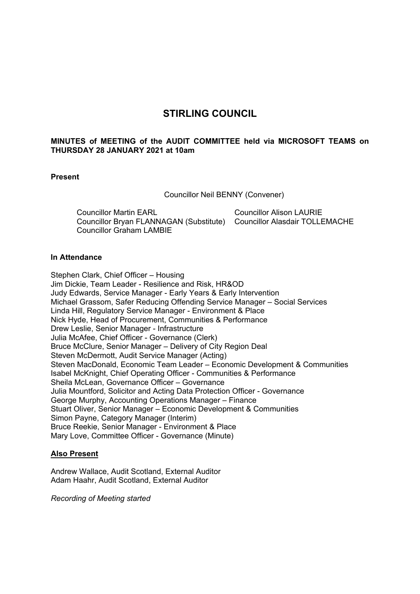# **STIRLING COUNCIL**

# **MINUTES of MEETING of the AUDIT COMMITTEE held via MICROSOFT TEAMS on THURSDAY 28 JANUARY 2021 at 10am**

# **Present**

Councillor Neil BENNY (Convener)

Councillor Martin EARL Councillor Bryan FLANNAGAN (Substitute) Councillor Alasdair TOLLEMACHE Councillor Graham LAMBIE Councillor Alison LAURIE

### **In Attendance**

Stephen Clark, Chief Officer – Housing Jim Dickie, Team Leader - Resilience and Risk, HR&OD Judy Edwards, Service Manager - Early Years & Early Intervention Michael Grassom, Safer Reducing Offending Service Manager – Social Services Linda Hill, Regulatory Service Manager - Environment & Place Nick Hyde, Head of Procurement, Communities & Performance Drew Leslie, Senior Manager - Infrastructure Julia McAfee, Chief Officer - Governance (Clerk) Bruce McClure, Senior Manager – Delivery of City Region Deal Steven McDermott, Audit Service Manager (Acting) Steven MacDonald, Economic Team Leader – Economic Development & Communities Isabel McKnight, Chief Operating Officer - Communities & Performance Sheila McLean, Governance Officer – Governance Julia Mountford, Solicitor and Acting Data Protection Officer - Governance George Murphy, Accounting Operations Manager – Finance Stuart Oliver, Senior Manager – Economic Development & Communities Simon Payne, Category Manager (Interim) Bruce Reekie, Senior Manager - Environment & Place Mary Love, Committee Officer - Governance (Minute)

# **Also Present**

Andrew Wallace, Audit Scotland, External Auditor Adam Haahr, Audit Scotland, External Auditor

*Recording of Meeting started*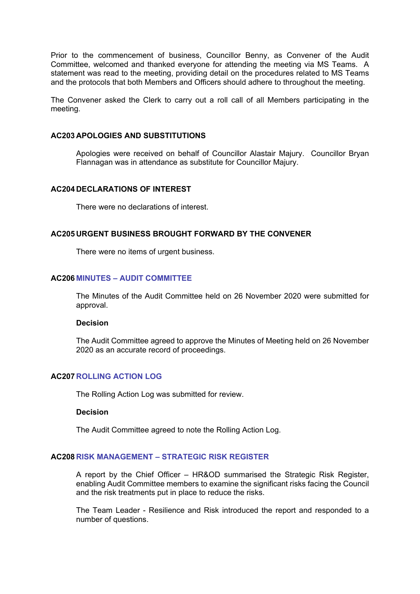Prior to the commencement of business, Councillor Benny, as Convener of the Audit Committee, welcomed and thanked everyone for attending the meeting via MS Teams. A statement was read to the meeting, providing detail on the procedures related to MS Teams and the protocols that both Members and Officers should adhere to throughout the meeting.

The Convener asked the Clerk to carry out a roll call of all Members participating in the meeting.

### **AC203 APOLOGIES AND SUBSTITUTIONS**

Apologies were received on behalf of Councillor Alastair Majury. Councillor Bryan Flannagan was in attendance as substitute for Councillor Majury.

### **AC204 DECLARATIONS OF INTEREST**

There were no declarations of interest.

#### **AC205 URGENT BUSINESS BROUGHT FORWARD BY THE CONVENER**

There were no items of urgent business.

# **AC206 MINUTES – AUDIT COMMITTEE**

The Minutes of the Audit Committee held on 26 November 2020 were submitted for approval.

#### **Decision**

The Audit Committee agreed to approve the Minutes of Meeting held on 26 November 2020 as an accurate record of proceedings.

# **AC207 ROLLING ACTION LOG**

The Rolling Action Log was submitted for review.

# **Decision**

The Audit Committee agreed to note the Rolling Action Log.

#### **AC208 RISK MANAGEMENT – STRATEGIC RISK REGISTER**

A report by the Chief Officer – HR&OD summarised the Strategic Risk Register, enabling Audit Committee members to examine the significant risks facing the Council and the risk treatments put in place to reduce the risks.

The Team Leader - Resilience and Risk introduced the report and responded to a number of questions.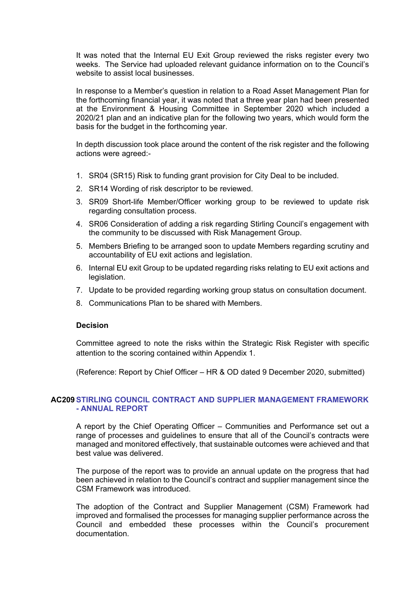It was noted that the Internal EU Exit Group reviewed the risks register every two weeks. The Service had uploaded relevant guidance information on to the Council's website to assist local businesses.

In response to a Member's question in relation to a Road Asset Management Plan for the forthcoming financial year, it was noted that a three year plan had been presented at the Environment & Housing Committee in September 2020 which included a 2020/21 plan and an indicative plan for the following two years, which would form the basis for the budget in the forthcoming year.

In depth discussion took place around the content of the risk register and the following actions were agreed:-

- 1. SR04 (SR15) Risk to funding grant provision for City Deal to be included.
- 2. SR14 Wording of risk descriptor to be reviewed.
- 3. SR09 Short-life Member/Officer working group to be reviewed to update risk regarding consultation process.
- 4. SR06 Consideration of adding a risk regarding Stirling Council's engagement with the community to be discussed with Risk Management Group.
- 5. Members Briefing to be arranged soon to update Members regarding scrutiny and accountability of EU exit actions and legislation.
- 6. Internal EU exit Group to be updated regarding risks relating to EU exit actions and legislation.
- 7. Update to be provided regarding working group status on consultation document.
- 8. Communications Plan to be shared with Members.

#### **Decision**

Committee agreed to note the risks within the Strategic Risk Register with specific attention to the scoring contained within Appendix 1.

(Reference: Report by Chief Officer – HR & OD dated 9 December 2020, submitted)

# **AC209STIRLING COUNCIL CONTRACT AND SUPPLIER MANAGEMENT FRAMEWORK - ANNUAL REPORT**

A report by the Chief Operating Officer – Communities and Performance set out a range of processes and guidelines to ensure that all of the Council's contracts were managed and monitored effectively, that sustainable outcomes were achieved and that best value was delivered.

The purpose of the report was to provide an annual update on the progress that had been achieved in relation to the Council's contract and supplier management since the CSM Framework was introduced.

The adoption of the Contract and Supplier Management (CSM) Framework had improved and formalised the processes for managing supplier performance across the Council and embedded these processes within the Council's procurement documentation.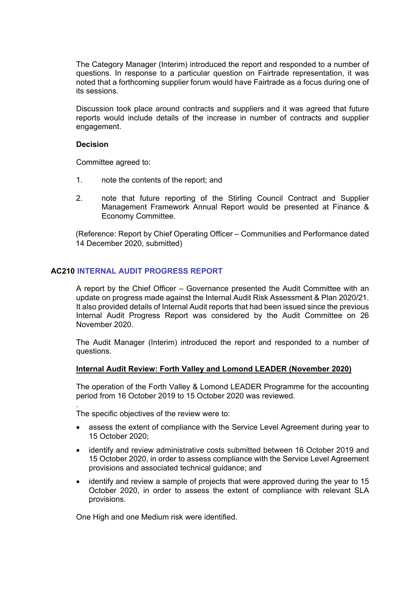The Category Manager (Interim) introduced the report and responded to a number of questions. In response to a particular question on Fairtrade representation, it was noted that a forthcoming supplier forum would have Fairtrade as a focus during one of its sessions.

Discussion took place around contracts and suppliers and it was agreed that future reports would include details of the increase in number of contracts and supplier engagement.

### **Decision**

.

Committee agreed to:

- 1. note the contents of the report; and
- 2. note that future reporting of the Stirling Council Contract and Supplier Management Framework Annual Report would be presented at Finance & Economy Committee.

(Reference: Report by Chief Operating Officer – Communities and Performance dated 14 December 2020, submitted)

# **AC210 INTERNAL AUDIT PROGRESS REPORT**

A report by the Chief Officer – Governance presented the Audit Committee with an update on progress made against the Internal Audit Risk Assessment & Plan 2020/21. It also provided details of Internal Audit reports that had been issued since the previous Internal Audit Progress Report was considered by the Audit Committee on 26 November 2020.

The Audit Manager (Interim) introduced the report and responded to a number of questions.

### **Internal Audit Review: Forth Valley and Lomond LEADER (November 2020)**

The operation of the Forth Valley & Lomond LEADER Programme for the accounting period from 16 October 2019 to 15 October 2020 was reviewed.

The specific objectives of the review were to:

- assess the extent of compliance with the Service Level Agreement during year to 15 October 2020;
- identify and review administrative costs submitted between 16 October 2019 and 15 October 2020, in order to assess compliance with the Service Level Agreement provisions and associated technical guidance; and
- identify and review a sample of projects that were approved during the year to 15 October 2020, in order to assess the extent of compliance with relevant SLA provisions.

One High and one Medium risk were identified.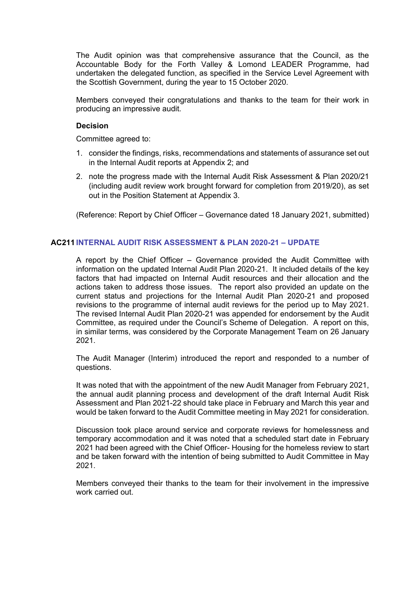The Audit opinion was that comprehensive assurance that the Council, as the Accountable Body for the Forth Valley & Lomond LEADER Programme, had undertaken the delegated function, as specified in the Service Level Agreement with the Scottish Government, during the year to 15 October 2020.

Members conveyed their congratulations and thanks to the team for their work in producing an impressive audit.

### **Decision**

Committee agreed to:

- 1. consider the findings, risks, recommendations and statements of assurance set out in the Internal Audit reports at Appendix 2; and
- 2. note the progress made with the Internal Audit Risk Assessment & Plan 2020/21 (including audit review work brought forward for completion from 2019/20), as set out in the Position Statement at Appendix 3.

(Reference: Report by Chief Officer – Governance dated 18 January 2021, submitted)

# **AC211 INTERNAL AUDIT RISK ASSESSMENT & PLAN 2020-21 – UPDATE**

A report by the Chief Officer – Governance provided the Audit Committee with information on the updated Internal Audit Plan 2020-21. It included details of the key factors that had impacted on Internal Audit resources and their allocation and the actions taken to address those issues. The report also provided an update on the current status and projections for the Internal Audit Plan 2020-21 and proposed revisions to the programme of internal audit reviews for the period up to May 2021. The revised Internal Audit Plan 2020-21 was appended for endorsement by the Audit Committee, as required under the Council's Scheme of Delegation. A report on this, in similar terms, was considered by the Corporate Management Team on 26 January 2021.

The Audit Manager (Interim) introduced the report and responded to a number of questions.

It was noted that with the appointment of the new Audit Manager from February 2021, the annual audit planning process and development of the draft Internal Audit Risk Assessment and Plan 2021-22 should take place in February and March this year and would be taken forward to the Audit Committee meeting in May 2021 for consideration.

Discussion took place around service and corporate reviews for homelessness and temporary accommodation and it was noted that a scheduled start date in February 2021 had been agreed with the Chief Officer- Housing for the homeless review to start and be taken forward with the intention of being submitted to Audit Committee in May 2021.

Members conveyed their thanks to the team for their involvement in the impressive work carried out.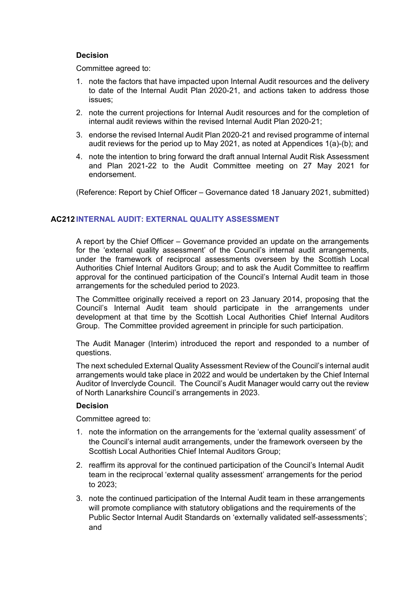# **Decision**

Committee agreed to:

- 1. note the factors that have impacted upon Internal Audit resources and the delivery to date of the Internal Audit Plan 2020-21, and actions taken to address those issues;
- 2. note the current projections for Internal Audit resources and for the completion of internal audit reviews within the revised Internal Audit Plan 2020-21;
- 3. endorse the revised Internal Audit Plan 2020-21 and revised programme of internal audit reviews for the period up to May 2021, as noted at Appendices 1(a)-(b); and
- 4. note the intention to bring forward the draft annual Internal Audit Risk Assessment and Plan 2021-22 to the Audit Committee meeting on 27 May 2021 for endorsement.

(Reference: Report by Chief Officer – Governance dated 18 January 2021, submitted)

# **AC212 INTERNAL AUDIT: EXTERNAL QUALITY ASSESSMENT**

A report by the Chief Officer – Governance provided an update on the arrangements for the 'external quality assessment' of the Council's internal audit arrangements, under the framework of reciprocal assessments overseen by the Scottish Local Authorities Chief Internal Auditors Group; and to ask the Audit Committee to reaffirm approval for the continued participation of the Council's Internal Audit team in those arrangements for the scheduled period to 2023.

The Committee originally received a report on 23 January 2014, proposing that the Council's Internal Audit team should participate in the arrangements under development at that time by the Scottish Local Authorities Chief Internal Auditors Group. The Committee provided agreement in principle for such participation.

The Audit Manager (Interim) introduced the report and responded to a number of questions.

The next scheduled External Quality Assessment Review of the Council's internal audit arrangements would take place in 2022 and would be undertaken by the Chief Internal Auditor of Inverclyde Council. The Council's Audit Manager would carry out the review of North Lanarkshire Council's arrangements in 2023.

# **Decision**

Committee agreed to:

- 1. note the information on the arrangements for the 'external quality assessment' of the Council's internal audit arrangements, under the framework overseen by the Scottish Local Authorities Chief Internal Auditors Group;
- 2. reaffirm its approval for the continued participation of the Council's Internal Audit team in the reciprocal 'external quality assessment' arrangements for the period to 2023;
- 3. note the continued participation of the Internal Audit team in these arrangements will promote compliance with statutory obligations and the requirements of the Public Sector Internal Audit Standards on 'externally validated self-assessments'; and